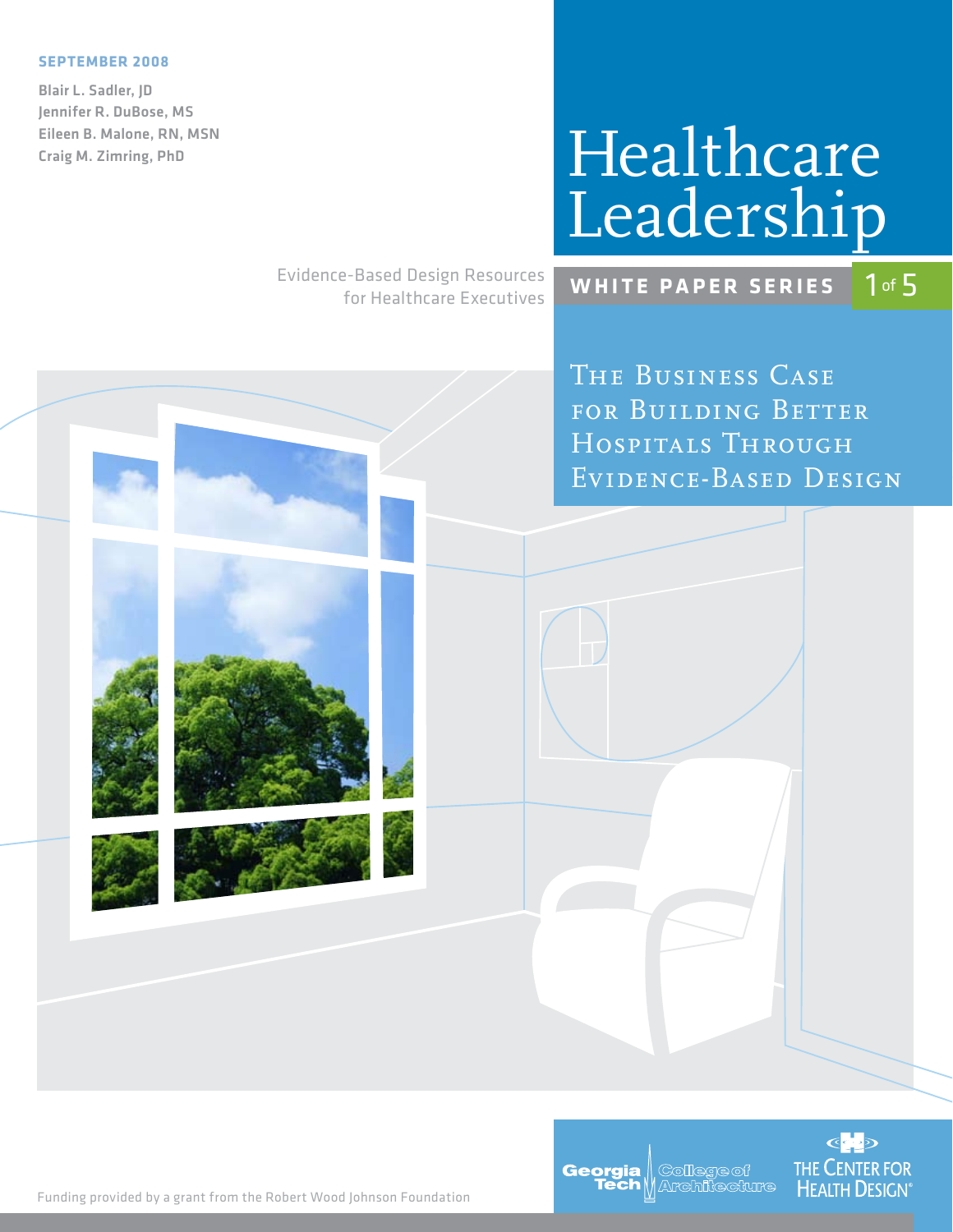#### **September 2008**

Blair L. Sadler, JD Jennifer R. DuBose, MS Eileen B. Malone, RN, MSN Craig M. Zimring, PhD

# Healthcare Leadership

Evidence-Based Design Resources for Healthcare Executives



**COD THE CENTER FOR** 

**HEALTH DESIGN** 

Georgia

**College of** Architecture

*The Business Case for Building Better Hospitals Through Evidence-Based Design*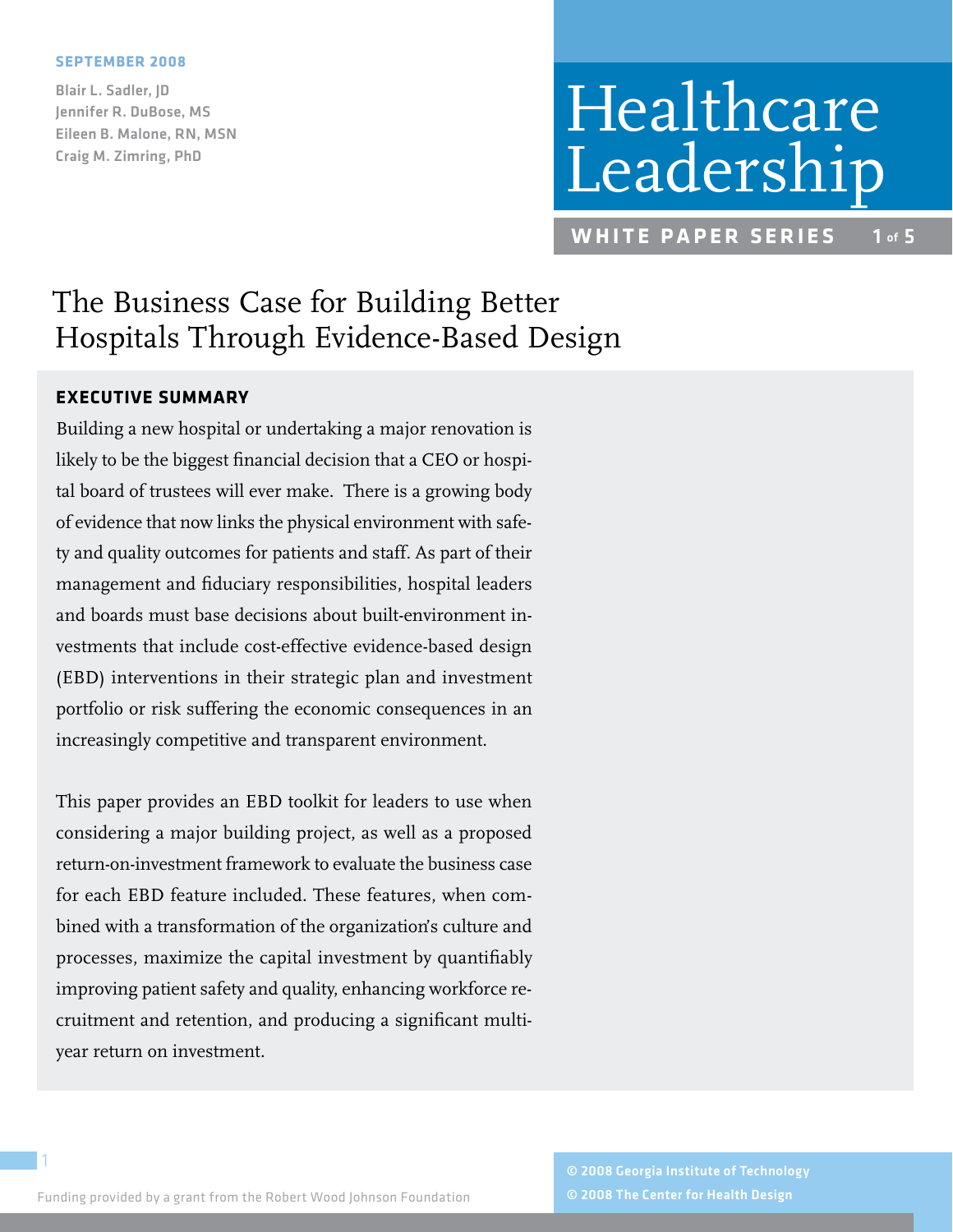#### **September 2008**

Blair L. Sadler, JD Jennifer R. DuBose, MS Eileen B. Malone, RN, MSN Craig M. Zimring, PhD

# Healthcare Leadership

**WHITE PAPER SERIES** 1 of 5

# The Business Case for Building Better Hospitals Through Evidence-Based Design

# **Executive Summary**

Building a new hospital or undertaking a major renovation is likely to be the biggest financial decision that a CEO or hospital board of trustees will ever make. There is a growing body of evidence that now links the physical environment with safety and quality outcomes for patients and staff. As part of their management and fiduciary responsibilities, hospital leaders and boards must base decisions about built-environment investments that include cost-effective evidence-based design (EBD) interventions in their strategic plan and investment portfolio or risk suffering the economic consequences in an increasingly competitive and transparent environment.

This paper provides an EBD toolkit for leaders to use when considering a major building project, as well as a proposed return-on-investment framework to evaluate the business case for each EBD feature included. These features, when combined with a transformation of the organization's culture and processes, maximize the capital investment by quantifiably improving patient safety and quality, enhancing workforce recruitment and retention, and producing a significant multiyear return on investment.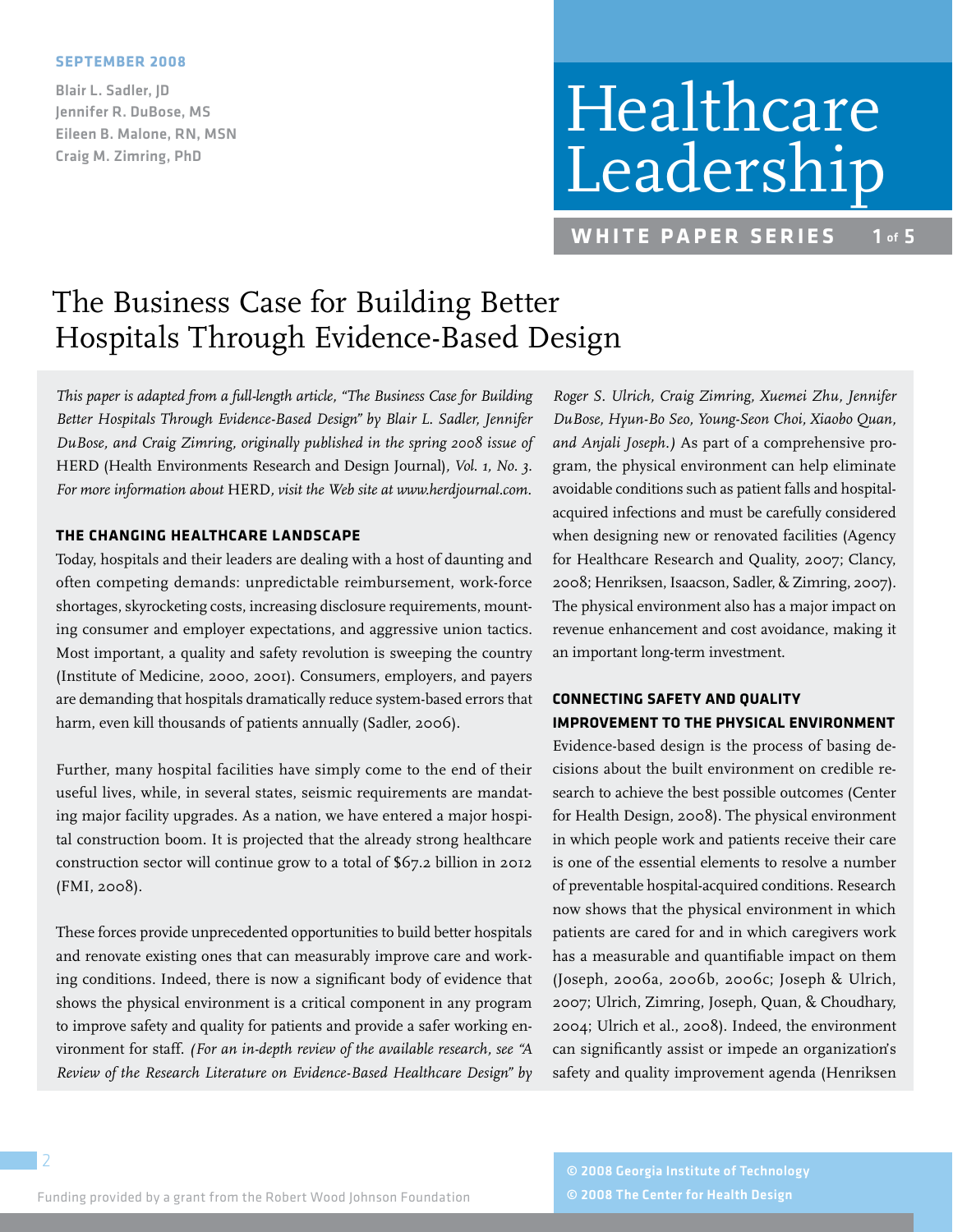#### **September 2008**

Blair L. Sadler, JD Jennifer R. DuBose, MS Eileen B. Malone, RN, MSN Craig M. Zimring, PhD

# Healthcare Leadership

**WHITE PAPER SERIES** 1 of 5

# The Business Case for Building Better Hospitals Through Evidence-Based Design

*This paper is adapted from a full-length article, "The Business Case for Building Better Hospitals Through Evidence-Based Design" by Blair L. Sadler, Jennifer DuBose, and Craig Zimring, originally published in the spring 2008 issue of*  HERD (Health Environments Research and Design Journal)*, Vol. 1, No. 3. For more information about* HERD*, visit the Web site at www.herdjournal.com.*

### **THE CHANGING HEALTHCARE LANDSCAPE**

Today, hospitals and their leaders are dealing with a host of daunting and often competing demands: unpredictable reimbursement, work-force shortages, skyrocketing costs, increasing disclosure requirements, mounting consumer and employer expectations, and aggressive union tactics. Most important, a quality and safety revolution is sweeping the country (Institute of Medicine, 2000, 2001). Consumers, employers, and payers are demanding that hospitals dramatically reduce system-based errors that harm, even kill thousands of patients annually (Sadler, 2006).

Further, many hospital facilities have simply come to the end of their useful lives, while, in several states, seismic requirements are mandating major facility upgrades. As a nation, we have entered a major hospital construction boom. It is projected that the already strong healthcare construction sector will continue grow to a total of \$67.2 billion in 2012 (FMI, 2008).

These forces provide unprecedented opportunities to build better hospitals and renovate existing ones that can measurably improve care and working conditions. Indeed, there is now a significant body of evidence that shows the physical environment is a critical component in any program to improve safety and quality for patients and provide a safer working environment for staff. *(For an in-depth review of the available research, see "A Review of the Research Literature on Evidence-Based Healthcare Design" by* 

*Roger S. Ulrich, Craig Zimring, Xuemei Zhu, Jennifer DuBose, Hyun-Bo Seo, Young-Seon Choi, Xiaobo Quan, and Anjali Joseph.)* As part of a comprehensive program, the physical environment can help eliminate avoidable conditions such as patient falls and hospitalacquired infections and must be carefully considered when designing new or renovated facilities (Agency for Healthcare Research and Quality, 2007; Clancy, 2008; Henriksen, Isaacson, Sadler, & Zimring, 2007). The physical environment also has a major impact on revenue enhancement and cost avoidance, making it an important long-term investment.

# **CONNECTING SAFETY AND QUALITY IMPROVEMENT TO THE PHYSICAL ENVIRONMENT**

Evidence-based design is the process of basing decisions about the built environment on credible research to achieve the best possible outcomes (Center for Health Design, 2008). The physical environment in which people work and patients receive their care is one of the essential elements to resolve a number of preventable hospital-acquired conditions. Research now shows that the physical environment in which patients are cared for and in which caregivers work has a measurable and quantifiable impact on them (Joseph, 2006a, 2006b, 2006c; Joseph & Ulrich, 2007; Ulrich, Zimring, Joseph, Quan, & Choudhary, 2004; Ulrich et al., 2008). Indeed, the environment can significantly assist or impede an organization's safety and quality improvement agenda (Henriksen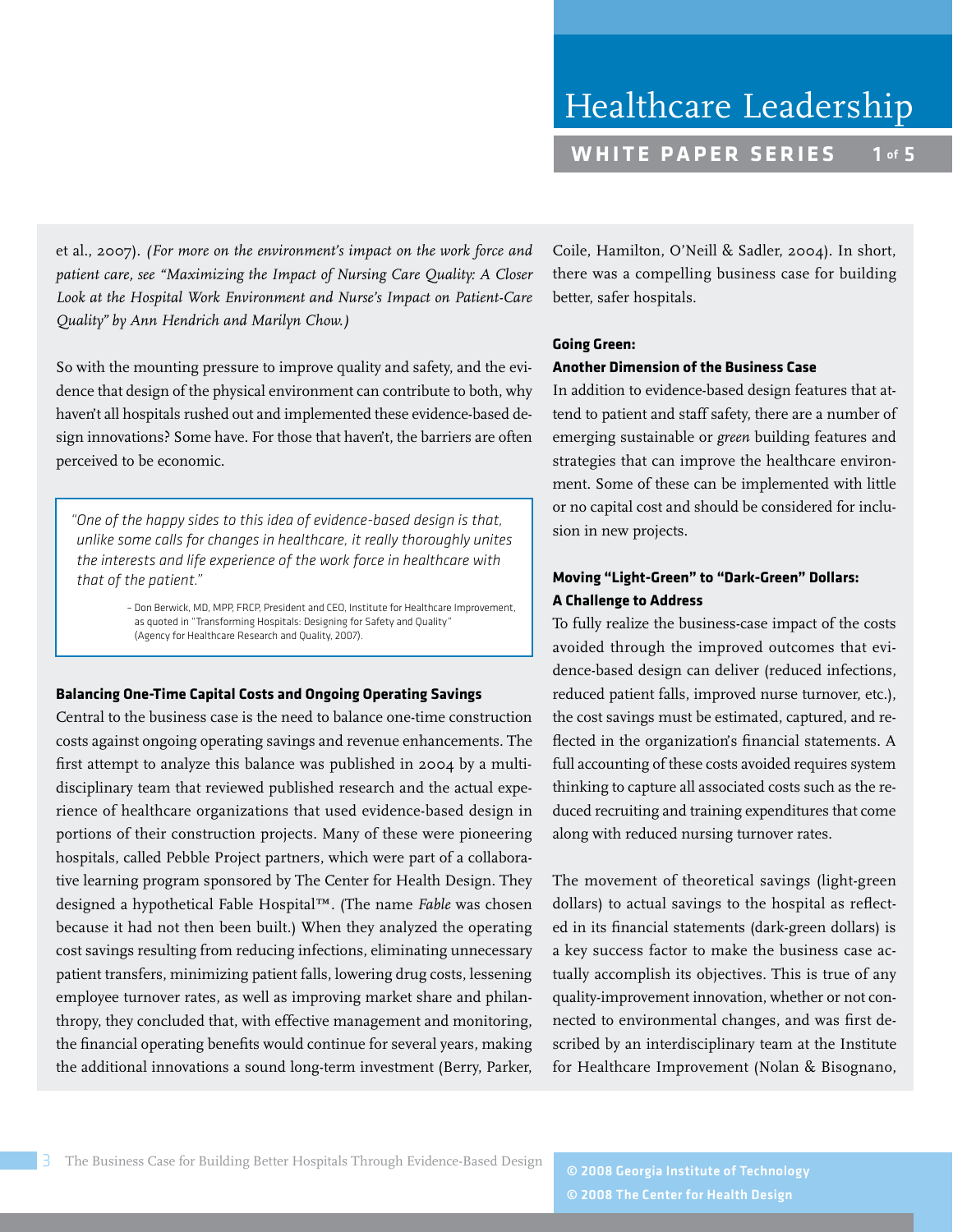et al., 2007). *(For more on the environment's impact on the work force and patient care, see "Maximizing the Impact of Nursing Care Quality: A Closer Look at the Hospital Work Environment and Nurse's Impact on Patient-Care Quality" by Ann Hendrich and Marilyn Chow.)*

So with the mounting pressure to improve quality and safety, and the evidence that design of the physical environment can contribute to both, why haven't all hospitals rushed out and implemented these evidence-based design innovations? Some have. For those that haven't, the barriers are often perceived to be economic.

*"One of the happy sides to this idea of evidence-based design is that, unlike some calls for changes in healthcare, it really thoroughly unites the interests and life experience of the work force in healthcare with that of the patient."* 

> – Don Berwick, MD, MPP, FRCP, President and CEO, Institute for Healthcare Improvement, as quoted in "Transforming Hospitals: Designing for Safety and Quality" (Agency for Healthcare Research and Quality, 2007).

#### **Balancing One-Time Capital Costs and Ongoing Operating Savings**

Central to the business case is the need to balance one-time construction costs against ongoing operating savings and revenue enhancements. The first attempt to analyze this balance was published in 2004 by a multidisciplinary team that reviewed published research and the actual experience of healthcare organizations that used evidence-based design in portions of their construction projects. Many of these were pioneering hospitals, called Pebble Project partners, which were part of a collaborative learning program sponsored by The Center for Health Design. They designed a hypothetical Fable Hospital™. (The name *Fable* was chosen because it had not then been built.) When they analyzed the operating cost savings resulting from reducing infections, eliminating unnecessary patient transfers, minimizing patient falls, lowering drug costs, lessening employee turnover rates, as well as improving market share and philanthropy, they concluded that, with effective management and monitoring, the financial operating benefits would continue for several years, making the additional innovations a sound long-term investment (Berry, Parker,

Coile, Hamilton, O'Neill & Sadler, 2004). In short, there was a compelling business case for building better, safer hospitals.

#### **Going Green:**

### **Another Dimension of the Business Case**

In addition to evidence-based design features that attend to patient and staff safety, there are a number of emerging sustainable or *green* building features and strategies that can improve the healthcare environment. Some of these can be implemented with little or no capital cost and should be considered for inclusion in new projects.

# **Moving "Light-Green" to "Dark-Green" Dollars: A Challenge to Address**

To fully realize the business-case impact of the costs avoided through the improved outcomes that evidence-based design can deliver (reduced infections, reduced patient falls, improved nurse turnover, etc.), the cost savings must be estimated, captured, and reflected in the organization's financial statements. A full accounting of these costs avoided requires system thinking to capture all associated costs such as the reduced recruiting and training expenditures that come along with reduced nursing turnover rates.

The movement of theoretical savings (light-green dollars) to actual savings to the hospital as reflected in its financial statements (dark-green dollars) is a key success factor to make the business case actually accomplish its objectives. This is true of any quality-improvement innovation, whether or not connected to environmental changes, and was first described by an interdisciplinary team at the Institute for Healthcare Improvement (Nolan & Bisognano,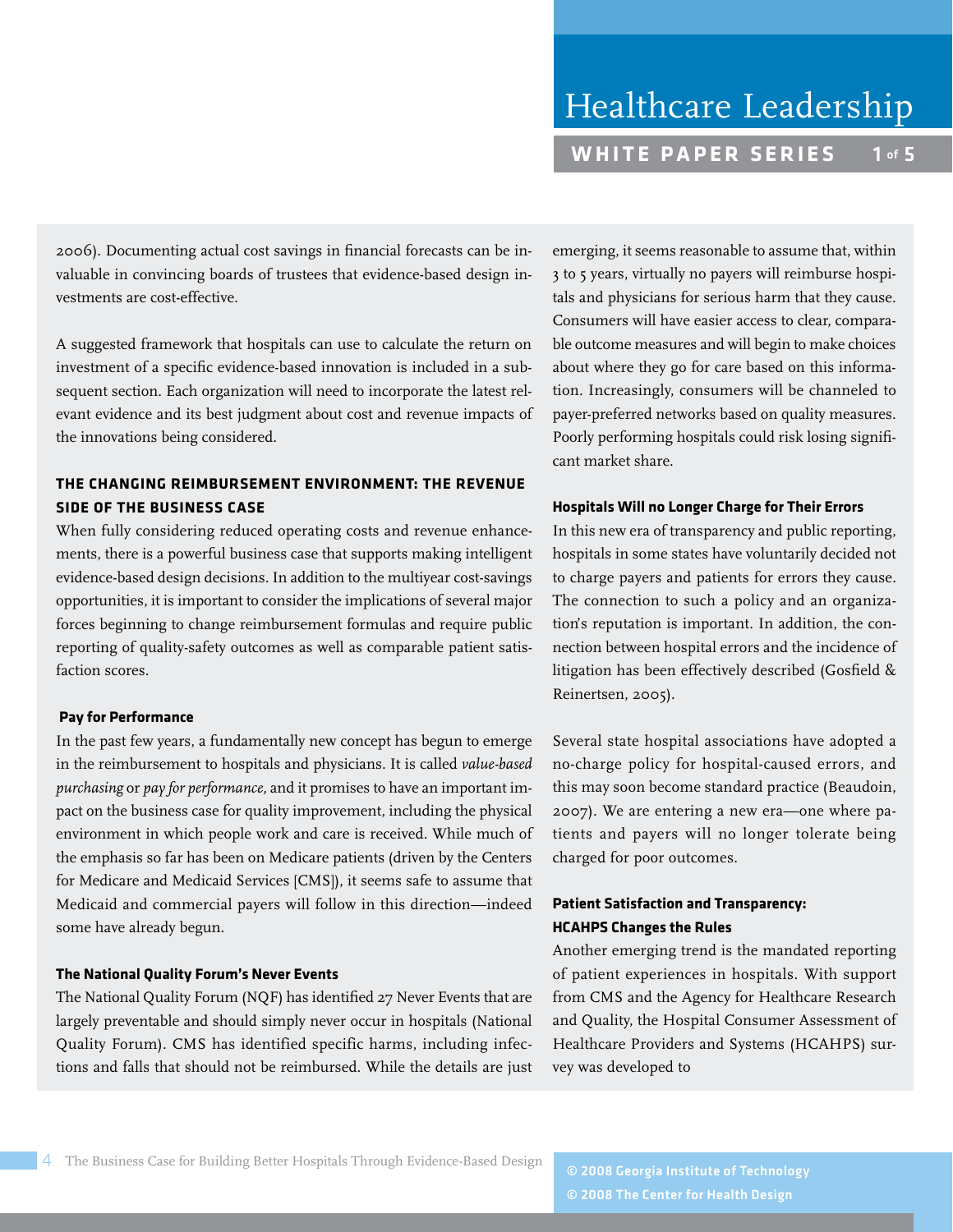2006). Documenting actual cost savings in financial forecasts can be invaluable in convincing boards of trustees that evidence-based design investments are cost-effective.

A suggested framework that hospitals can use to calculate the return on investment of a specific evidence-based innovation is included in a subsequent section. Each organization will need to incorporate the latest relevant evidence and its best judgment about cost and revenue impacts of the innovations being considered.

# **THE CHANGING REIMBURSEMENT ENVIRONMENT: THE REVENUE SIDE OF THE BUSINESS CASE**

When fully considering reduced operating costs and revenue enhancements, there is a powerful business case that supports making intelligent evidence-based design decisions. In addition to the multiyear cost-savings opportunities, it is important to consider the implications of several major forces beginning to change reimbursement formulas and require public reporting of quality-safety outcomes as well as comparable patient satisfaction scores.

#### **Pay for performance**

In the past few years, a fundamentally new concept has begun to emerge in the reimbursement to hospitals and physicians. It is called *value-based purchasing* or *pay for performance,* and it promises to have an important impact on the business case for quality improvement, including the physical environment in which people work and care is received. While much of the emphasis so far has been on Medicare patients (driven by the Centers for Medicare and Medicaid Services [CMS]), it seems safe to assume that Medicaid and commercial payers will follow in this direction—indeed some have already begun.

## **The National Quality Forum's Never Events**

The National Quality Forum (NQF) has identified 27 Never Events that are largely preventable and should simply never occur in hospitals (National Quality Forum). CMS has identified specific harms, including infections and falls that should not be reimbursed. While the details are just emerging, it seems reasonable to assume that, within 3 to 5 years, virtually no payers will reimburse hospitals and physicians for serious harm that they cause. Consumers will have easier access to clear, comparable outcome measures and will begin to make choices about where they go for care based on this information. Increasingly, consumers will be channeled to payer-preferred networks based on quality measures. Poorly performing hospitals could risk losing significant market share.

#### **Hospitals Will no Longer Charge for Their Errors**

In this new era of transparency and public reporting, hospitals in some states have voluntarily decided not to charge payers and patients for errors they cause. The connection to such a policy and an organization's reputation is important. In addition, the connection between hospital errors and the incidence of litigation has been effectively described (Gosfield & Reinertsen, 2005).

Several state hospital associations have adopted a no-charge policy for hospital-caused errors, and this may soon become standard practice (Beaudoin, 2007). We are entering a new era—one where patients and payers will no longer tolerate being charged for poor outcomes.

# **Patient Satisfaction and Transparency: HCAHPS Changes the Rules**

Another emerging trend is the mandated reporting of patient experiences in hospitals. With support from CMS and the Agency for Healthcare Research and Quality, the Hospital Consumer Assessment of Healthcare Providers and Systems (HCAHPS) survey was developed to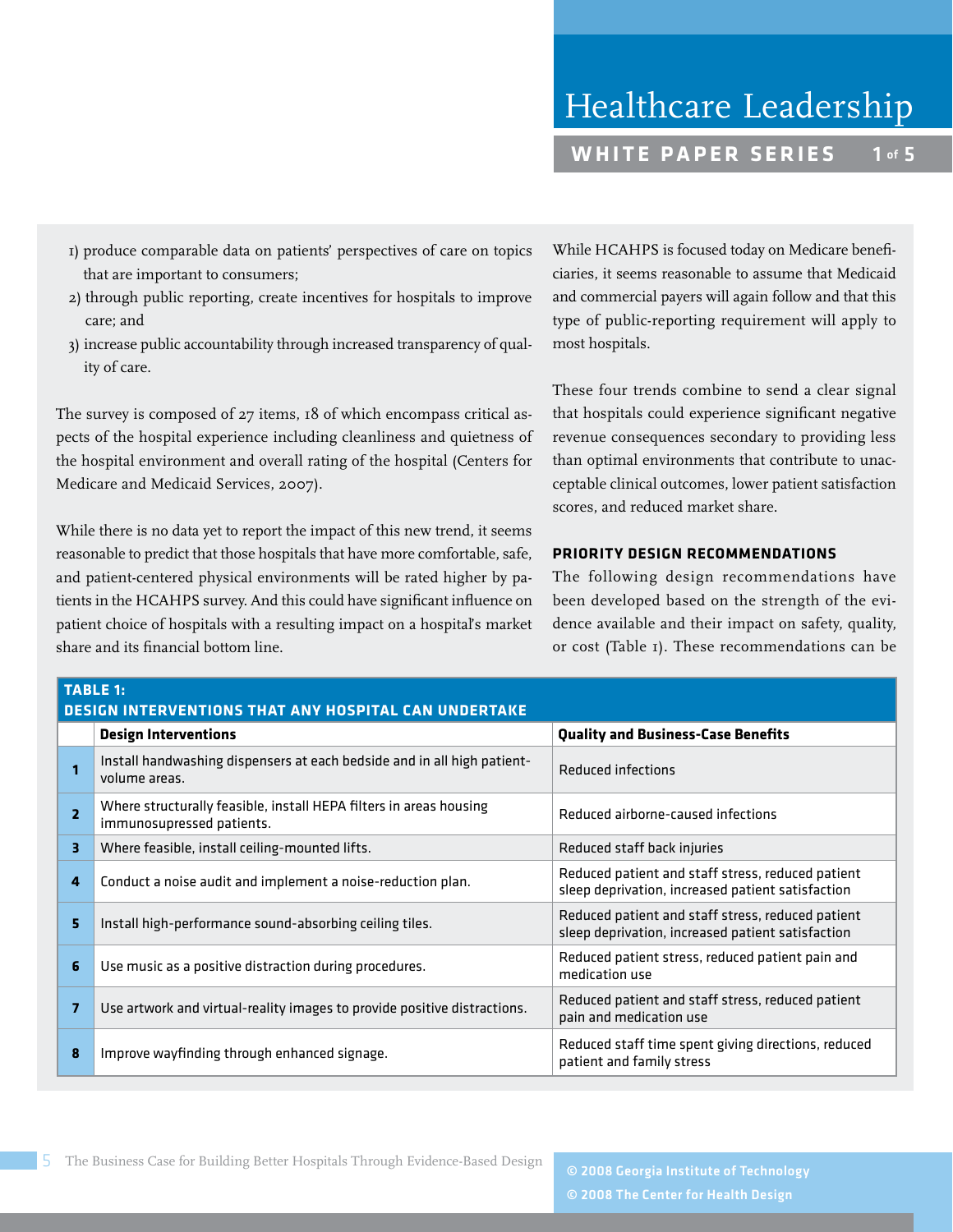- 1) produce comparable data on patients' perspectives of care on topics that are important to consumers;
- 2) through public reporting, create incentives for hospitals to improve care; and
- 3) increase public accountability through increased transparency of quality of care.

The survey is composed of 27 items, 18 of which encompass critical aspects of the hospital experience including cleanliness and quietness of the hospital environment and overall rating of the hospital (Centers for Medicare and Medicaid Services, 2007).

While there is no data yet to report the impact of this new trend, it seems reasonable to predict that those hospitals that have more comfortable, safe, and patient-centered physical environments will be rated higher by patients in the HCAHPS survey. And this could have significant influence on patient choice of hospitals with a resulting impact on a hospital's market share and its financial bottom line.

While HCAHPS is focused today on Medicare beneficiaries, it seems reasonable to assume that Medicaid and commercial payers will again follow and that this type of public-reporting requirement will apply to most hospitals.

These four trends combine to send a clear signal that hospitals could experience significant negative revenue consequences secondary to providing less than optimal environments that contribute to unacceptable clinical outcomes, lower patient satisfaction scores, and reduced market share.

# **PRIORITY DESIGN RECOMMENDATIONS**

The following design recommendations have been developed based on the strength of the evidence available and their impact on safety, quality, or cost (Table 1). These recommendations can be

| <b>TABLE 1:</b><br><b>DESIGN INTERVENTIONS THAT ANY HOSPITAL CAN UNDERTAKE</b> |                                                                                                 |                                                                                                        |  |
|--------------------------------------------------------------------------------|-------------------------------------------------------------------------------------------------|--------------------------------------------------------------------------------------------------------|--|
|                                                                                | <b>Design Interventions</b>                                                                     | <b>Quality and Business-Case Benefits</b>                                                              |  |
|                                                                                | Install handwashing dispensers at each bedside and in all high patient-<br>volume areas.        | Reduced infections                                                                                     |  |
| $\overline{2}$                                                                 | Where structurally feasible, install HEPA filters in areas housing<br>immunosupressed patients. | Reduced airborne-caused infections                                                                     |  |
| 3                                                                              | Where feasible, install ceiling-mounted lifts.                                                  | Reduced staff back injuries                                                                            |  |
| 4                                                                              | Conduct a noise audit and implement a noise-reduction plan.                                     | Reduced patient and staff stress, reduced patient<br>sleep deprivation, increased patient satisfaction |  |
| 5                                                                              | Install high-performance sound-absorbing ceiling tiles.                                         | Reduced patient and staff stress, reduced patient<br>sleep deprivation, increased patient satisfaction |  |
| 6                                                                              | Use music as a positive distraction during procedures.                                          | Reduced patient stress, reduced patient pain and<br>medication use                                     |  |
| 7                                                                              | Use artwork and virtual-reality images to provide positive distractions.                        | Reduced patient and staff stress, reduced patient<br>pain and medication use                           |  |
| 8                                                                              | Improve wayfinding through enhanced signage.                                                    | Reduced staff time spent giving directions, reduced<br>patient and family stress                       |  |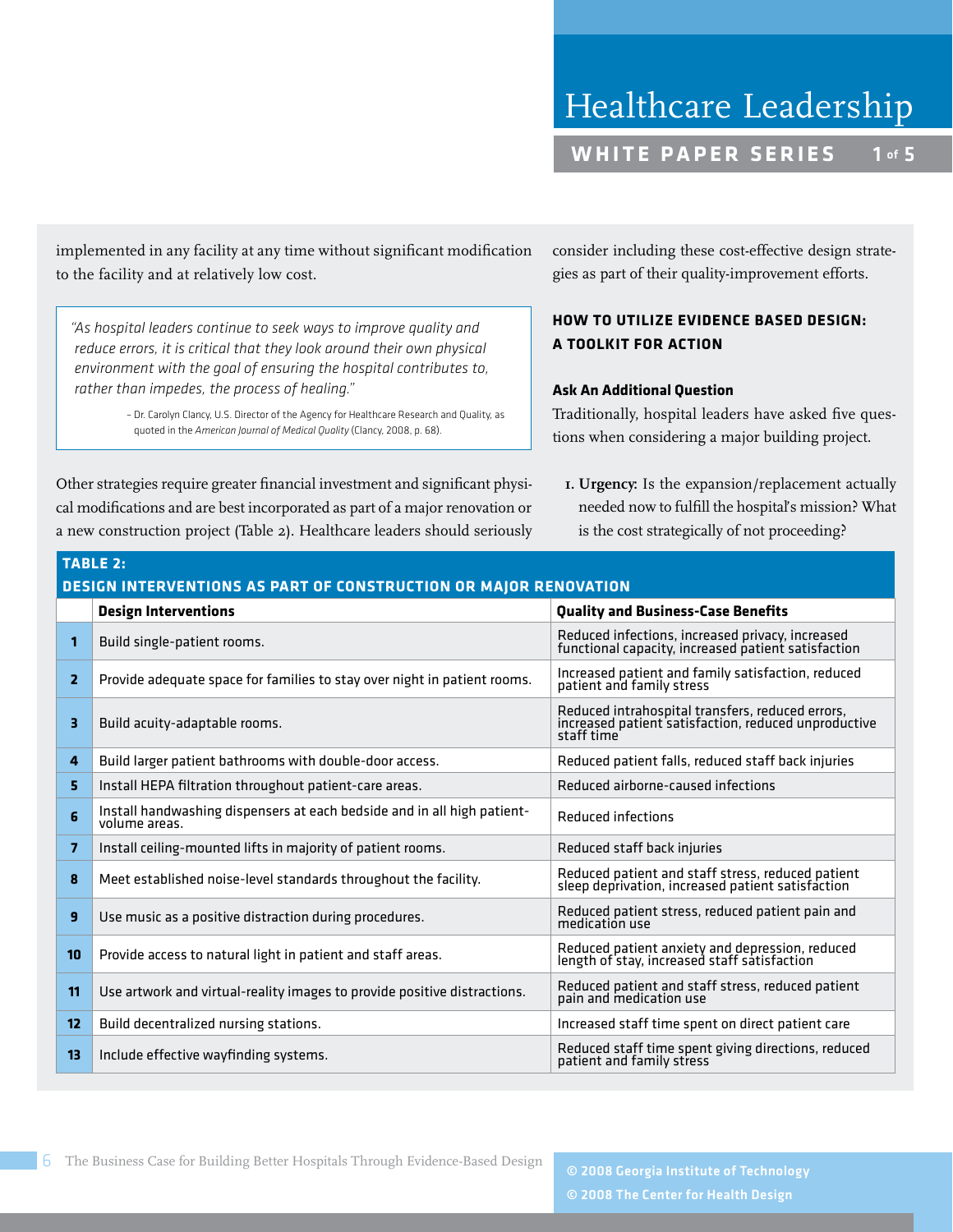implemented in any facility at any time without significant modification to the facility and at relatively low cost.

*"As hospital leaders continue to seek ways to improve quality and reduce errors, it is critical that they look around their own physical environment with the goal of ensuring the hospital contributes to, rather than impedes, the process of healing."*

> – Dr. Carolyn Clancy, U.S. Director of the Agency for Healthcare Research and Quality, as quoted in the *American Journal of Medical Quality* (Clancy, 2008, p. 68).

Other strategies require greater financial investment and significant physical modifications and are best incorporated as part of a major renovation or a new construction project (Table 2). Healthcare leaders should seriously consider including these cost-effective design strategies as part of their quality-improvement efforts.

# **HOW TO UTILIZE EVIDENCE BASED DESIGN: A TOOLKIT FOR ACTION**

## **Ask An Additional Question**

Traditionally, hospital leaders have asked five questions when considering a major building project.

**1. Urgency:** Is the expansion/replacement actually needed now to fulfill the hospital's mission? What is the cost strategically of not proceeding?

| <b>TABLE 2:</b>                                                  |                                                                                          |                                                                                                                        |  |
|------------------------------------------------------------------|------------------------------------------------------------------------------------------|------------------------------------------------------------------------------------------------------------------------|--|
| DESIGN INTERVENTIONS AS PART OF CONSTRUCTION OR MAJOR RENOVATION |                                                                                          |                                                                                                                        |  |
|                                                                  | <b>Design Interventions</b>                                                              | <b>Quality and Business-Case Benefits</b>                                                                              |  |
| 1                                                                | Build single-patient rooms.                                                              | Reduced infections, increased privacy, increased<br>functional capacity, increased patient satisfaction                |  |
| 2                                                                | Provide adequate space for families to stay over night in patient rooms.                 | Increased patient and family satisfaction, reduced<br>patient and family stress                                        |  |
| з                                                                | Build acuity-adaptable rooms.                                                            | Reduced intrahospital transfers, reduced errors,<br>increased patient satisfaction, reduced unproductive<br>staff time |  |
| 4                                                                | Build larger patient bathrooms with double-door access.                                  | Reduced patient falls, reduced staff back injuries                                                                     |  |
| 5                                                                | Install HEPA filtration throughout patient-care areas.                                   | Reduced airborne-caused infections                                                                                     |  |
| 6                                                                | Install handwashing dispensers at each bedside and in all high patient-<br>volume areas. | Reduced infections                                                                                                     |  |
| $\overline{\mathbf{z}}$                                          | Install ceiling-mounted lifts in majority of patient rooms.                              | Reduced staff back injuries                                                                                            |  |
| 8                                                                | Meet established noise-level standards throughout the facility.                          | Reduced patient and staff stress, reduced patient<br>sleep deprivation, increased patient satisfaction                 |  |
| 9                                                                | Use music as a positive distraction during procedures.                                   | Reduced patient stress, reduced patient pain and<br>medication use                                                     |  |
| 10                                                               | Provide access to natural light in patient and staff areas.                              | Reduced patient anxiety and depression, reduced<br>length of stay, increased staff satisfaction                        |  |
| 11                                                               | Use artwork and virtual-reality images to provide positive distractions.                 | Reduced patient and staff stress, reduced patient<br>pain and medication use                                           |  |
| 12                                                               | Build decentralized nursing stations.                                                    | Increased staff time spent on direct patient care                                                                      |  |
| 13                                                               | Include effective wayfinding systems.                                                    | Reduced staff time spent giving directions, reduced<br>patient and family stress                                       |  |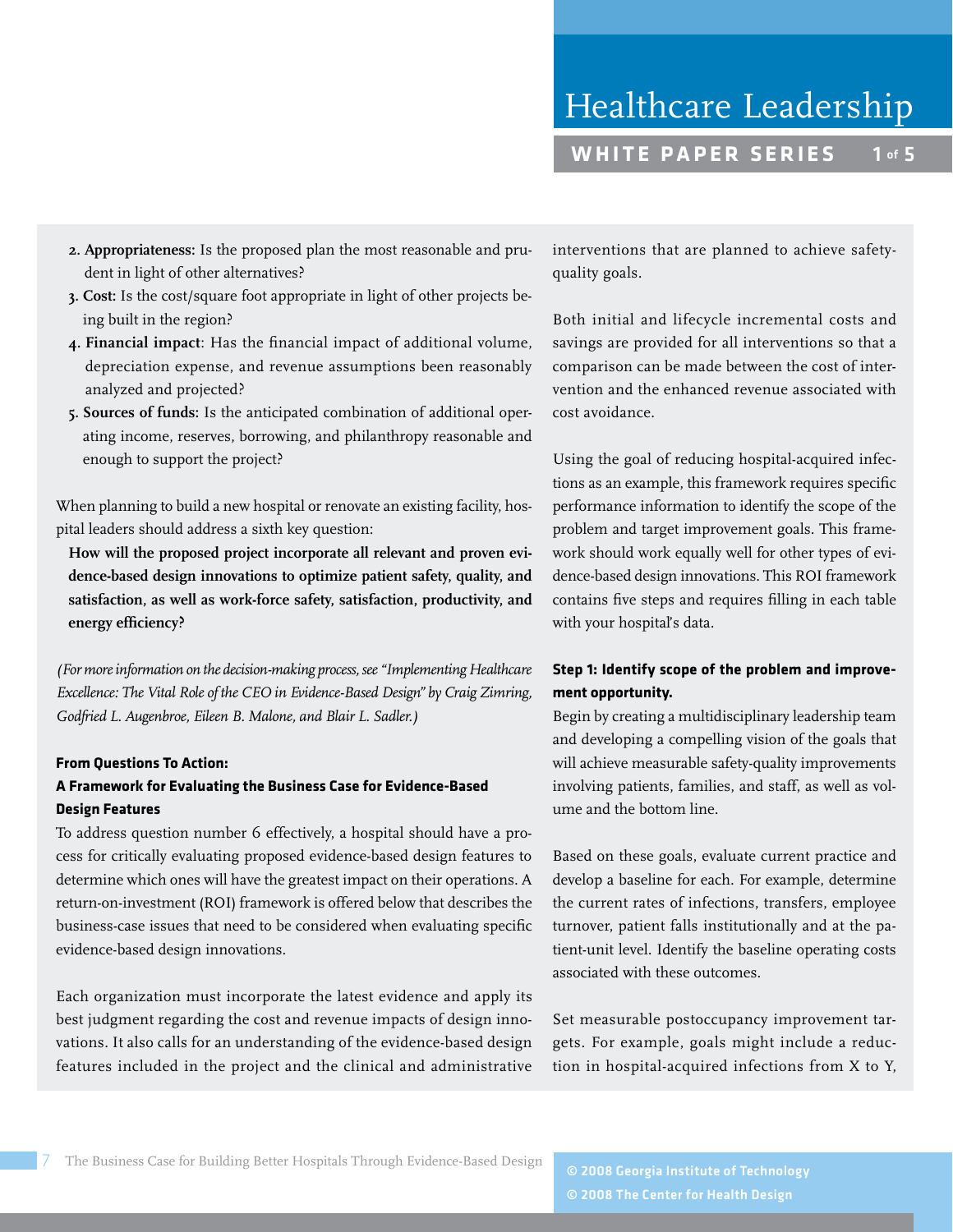- **2. Appropriateness:** Is the proposed plan the most reasonable and prudent in light of other alternatives?
- **3. Cost:** Is the cost/square foot appropriate in light of other projects being built in the region?
- **4. Financial impact**: Has the financial impact of additional volume, depreciation expense, and revenue assumptions been reasonably analyzed and projected?
- **5. Sources of funds:** Is the anticipated combination of additional operating income, reserves, borrowing, and philanthropy reasonable and enough to support the project?

When planning to build a new hospital or renovate an existing facility, hospital leaders should address a sixth key question:

 **How will the proposed project incorporate all relevant and proven evidence-based design innovations to optimize patient safety, quality, and satisfaction, as well as work-force safety, satisfaction, productivity, and energy efficiency?** 

*(For more information on the decision-making process, see "Implementing Healthcare Excellence: The Vital Role of the CEO in Evidence-Based Design" by Craig Zimring, Godfried L. Augenbroe, Eileen B. Malone, and Blair L. Sadler.)*

# **From Questions To Action:**

# **A Framework for Evaluating the Business Case for Evidence-Based Design Features**

To address question number 6 effectively, a hospital should have a process for critically evaluating proposed evidence-based design features to determine which ones will have the greatest impact on their operations. A return-on-investment (ROI) framework is offered below that describes the business-case issues that need to be considered when evaluating specific evidence-based design innovations.

Each organization must incorporate the latest evidence and apply its best judgment regarding the cost and revenue impacts of design innovations. It also calls for an understanding of the evidence-based design features included in the project and the clinical and administrative interventions that are planned to achieve safetyquality goals.

Both initial and lifecycle incremental costs and savings are provided for all interventions so that a comparison can be made between the cost of intervention and the enhanced revenue associated with cost avoidance.

Using the goal of reducing hospital-acquired infections as an example, this framework requires specific performance information to identify the scope of the problem and target improvement goals. This framework should work equally well for other types of evidence-based design innovations. This ROI framework contains five steps and requires filling in each table with your hospital's data.

# **Step 1: Identify scope of the problem and improvement opportunity.**

Begin by creating a multidisciplinary leadership team and developing a compelling vision of the goals that will achieve measurable safety-quality improvements involving patients, families, and staff, as well as volume and the bottom line.

Based on these goals, evaluate current practice and develop a baseline for each. For example, determine the current rates of infections, transfers, employee turnover, patient falls institutionally and at the patient-unit level. Identify the baseline operating costs associated with these outcomes.

Set measurable postoccupancy improvement targets. For example, goals might include a reduction in hospital-acquired infections from X to Y,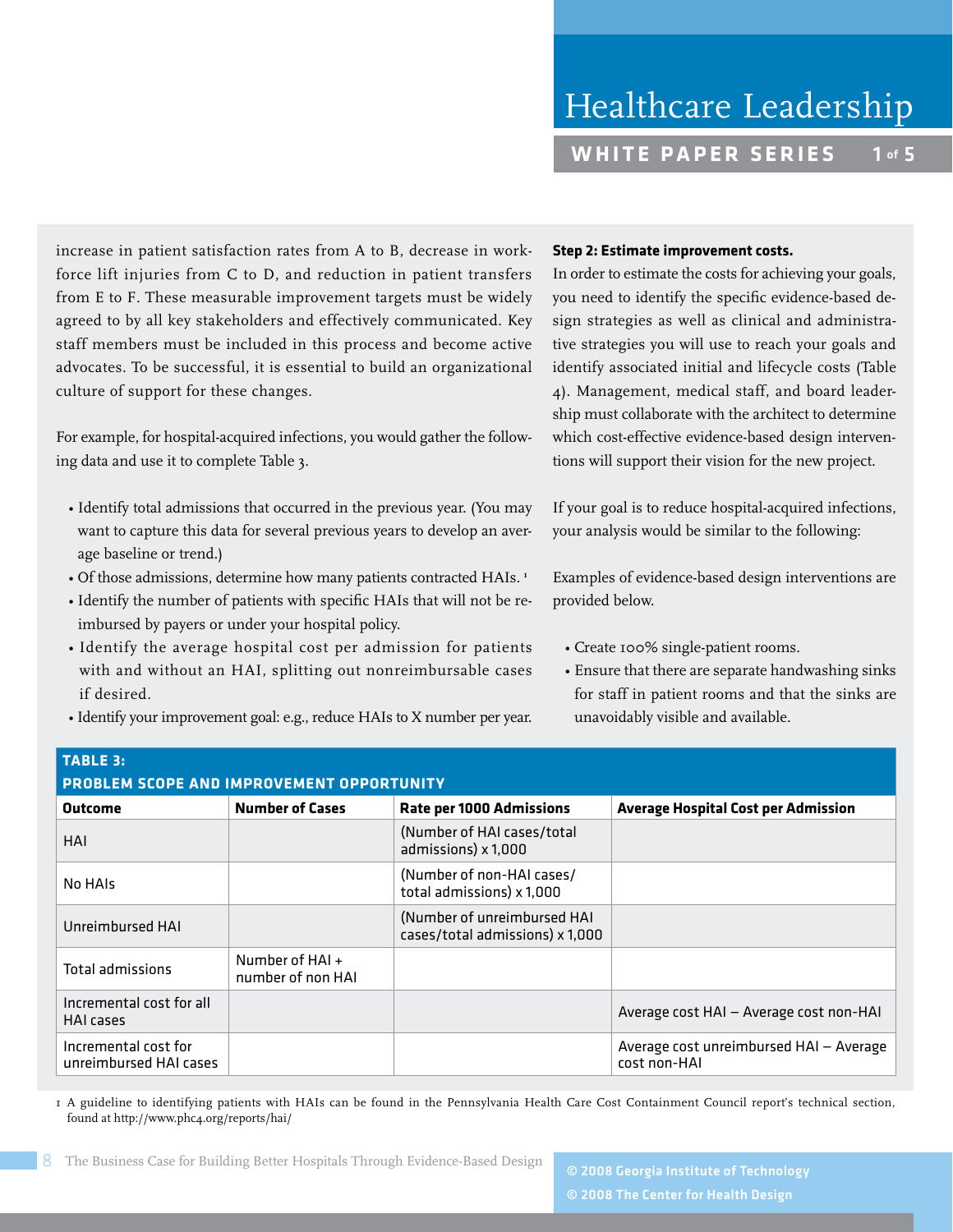increase in patient satisfaction rates from A to B, decrease in workforce lift injuries from C to D, and reduction in patient transfers from E to F. These measurable improvement targets must be widely agreed to by all key stakeholders and effectively communicated. Key staff members must be included in this process and become active advocates. To be successful, it is essential to build an organizational culture of support for these changes.

For example, for hospital-acquired infections, you would gather the following data and use it to complete Table 3.

- Identify total admissions that occurred in the previous year. (You may want to capture this data for several previous years to develop an average baseline or trend.)
- Of those admissions, determine how many patients contracted HAIs. **<sup>1</sup>**
	- Identify the number of patients with specific HAIs that will not be reimbursed by payers or under your hospital policy.
	- Identify the average hospital cost per admission for patients with and without an HAI, splitting out nonreimbursable cases if desired.
- Identify your improvement goal: e.g., reduce HAIs to X number per year.

#### **Step 2: Estimate improvement costs.**

In order to estimate the costs for achieving your goals, you need to identify the specific evidence-based design strategies as well as clinical and administrative strategies you will use to reach your goals and identify associated initial and lifecycle costs (Table 4). Management, medical staff, and board leadership must collaborate with the architect to determine which cost-effective evidence-based design interventions will support their vision for the new project.

If your goal is to reduce hospital-acquired infections, your analysis would be similar to the following:

Examples of evidence-based design interventions are provided below.

- Create 100% single-patient rooms.
- Ensure that there are separate handwashing sinks for staff in patient rooms and that the sinks are unavoidably visible and available.

| <b>TABLE 3:</b>                                  |                                      |                                                                |                                                         |  |
|--------------------------------------------------|--------------------------------------|----------------------------------------------------------------|---------------------------------------------------------|--|
| <b>PROBLEM SCOPE AND IMPROVEMENT OPPORTUNITY</b> |                                      |                                                                |                                                         |  |
| <b>Outcome</b>                                   | <b>Number of Cases</b>               | <b>Rate per 1000 Admissions</b>                                | <b>Average Hospital Cost per Admission</b>              |  |
| HAI                                              |                                      | (Number of HAI cases/total<br>admissions) x 1,000              |                                                         |  |
| No HAIs                                          |                                      | (Number of non-HAI cases/<br>total admissions) x 1,000         |                                                         |  |
| Unreimbursed HAI                                 |                                      | (Number of unreimbursed HAI<br>cases/total admissions) x 1,000 |                                                         |  |
| <b>Total admissions</b>                          | Number of HAI +<br>number of non HAI |                                                                |                                                         |  |
| Incremental cost for all<br><b>HAI</b> cases     |                                      |                                                                | Average cost HAI - Average cost non-HAI                 |  |
| Incremental cost for<br>unreimbursed HAI cases   |                                      |                                                                | Average cost unreimbursed HAI - Average<br>cost non-HAI |  |

I A guideline to identifying patients with HAIs can be found in the Pennsylvania Health Care Cost Containment Council report's technical section, found at http://www.phc4.org/reports/hai/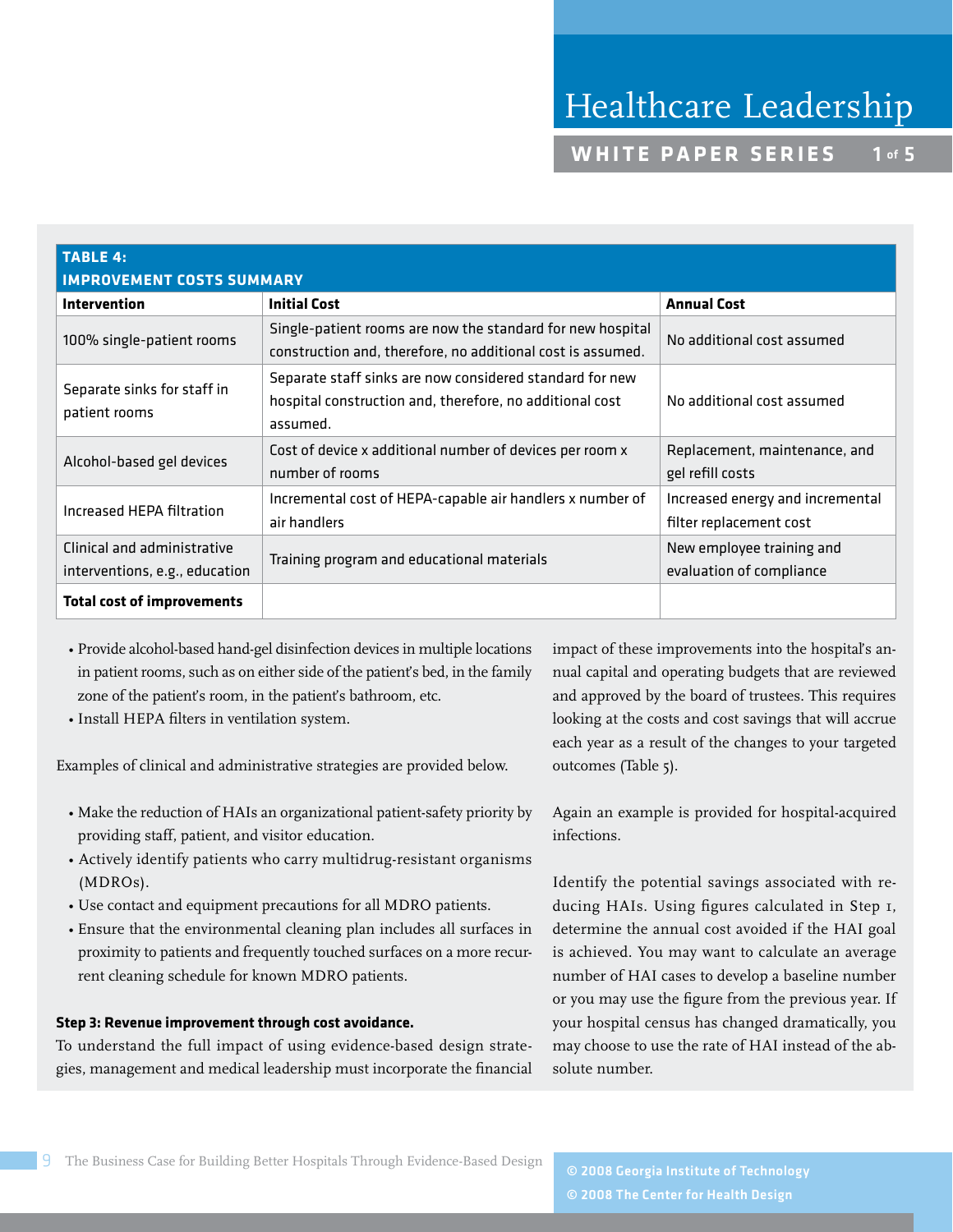| <b>TABLE 4:</b><br><b>IMPROVEMENT COSTS SUMMARY</b>           |                                                                                                                                  |                                                             |  |
|---------------------------------------------------------------|----------------------------------------------------------------------------------------------------------------------------------|-------------------------------------------------------------|--|
| <b>Intervention</b>                                           | <b>Initial Cost</b>                                                                                                              | <b>Annual Cost</b>                                          |  |
| 100% single-patient rooms                                     | Single-patient rooms are now the standard for new hospital<br>construction and, therefore, no additional cost is assumed.        | No additional cost assumed                                  |  |
| Separate sinks for staff in<br>patient rooms                  | Separate staff sinks are now considered standard for new<br>hospital construction and, therefore, no additional cost<br>assumed. | No additional cost assumed                                  |  |
| Alcohol-based gel devices                                     | Cost of device x additional number of devices per room x<br>number of rooms                                                      | Replacement, maintenance, and<br>gel refill costs           |  |
| Increased HEPA filtration                                     | Incremental cost of HEPA-capable air handlers x number of<br>air handlers                                                        | Increased energy and incremental<br>filter replacement cost |  |
| Clinical and administrative<br>interventions, e.g., education | Training program and educational materials                                                                                       | New employee training and<br>evaluation of compliance       |  |
| <b>Total cost of improvements</b>                             |                                                                                                                                  |                                                             |  |

- Provide alcohol-based hand-gel disinfection devices in multiple locations in patient rooms, such as on either side of the patient's bed, in the family zone of the patient's room, in the patient's bathroom, etc.
- Install HEPA filters in ventilation system.

Examples of clinical and administrative strategies are provided below.

- Make the reduction of HAIs an organizational patient-safety priority by providing staff, patient, and visitor education.
- Actively identify patients who carry multidrug-resistant organisms (MDROs).
- Use contact and equipment precautions for all MDRO patients.
- Ensure that the environmental cleaning plan includes all surfaces in proximity to patients and frequently touched surfaces on a more recurrent cleaning schedule for known MDRO patients.

#### **Step 3: Revenue improvement through cost avoidance.**

To understand the full impact of using evidence-based design strategies, management and medical leadership must incorporate the financial impact of these improvements into the hospital's annual capital and operating budgets that are reviewed and approved by the board of trustees. This requires looking at the costs and cost savings that will accrue each year as a result of the changes to your targeted outcomes (Table 5).

Again an example is provided for hospital-acquired infections.

Identify the potential savings associated with reducing HAIs. Using figures calculated in Step 1, determine the annual cost avoided if the HAI goal is achieved. You may want to calculate an average number of HAI cases to develop a baseline number or you may use the figure from the previous year. If your hospital census has changed dramatically, you may choose to use the rate of HAI instead of the absolute number.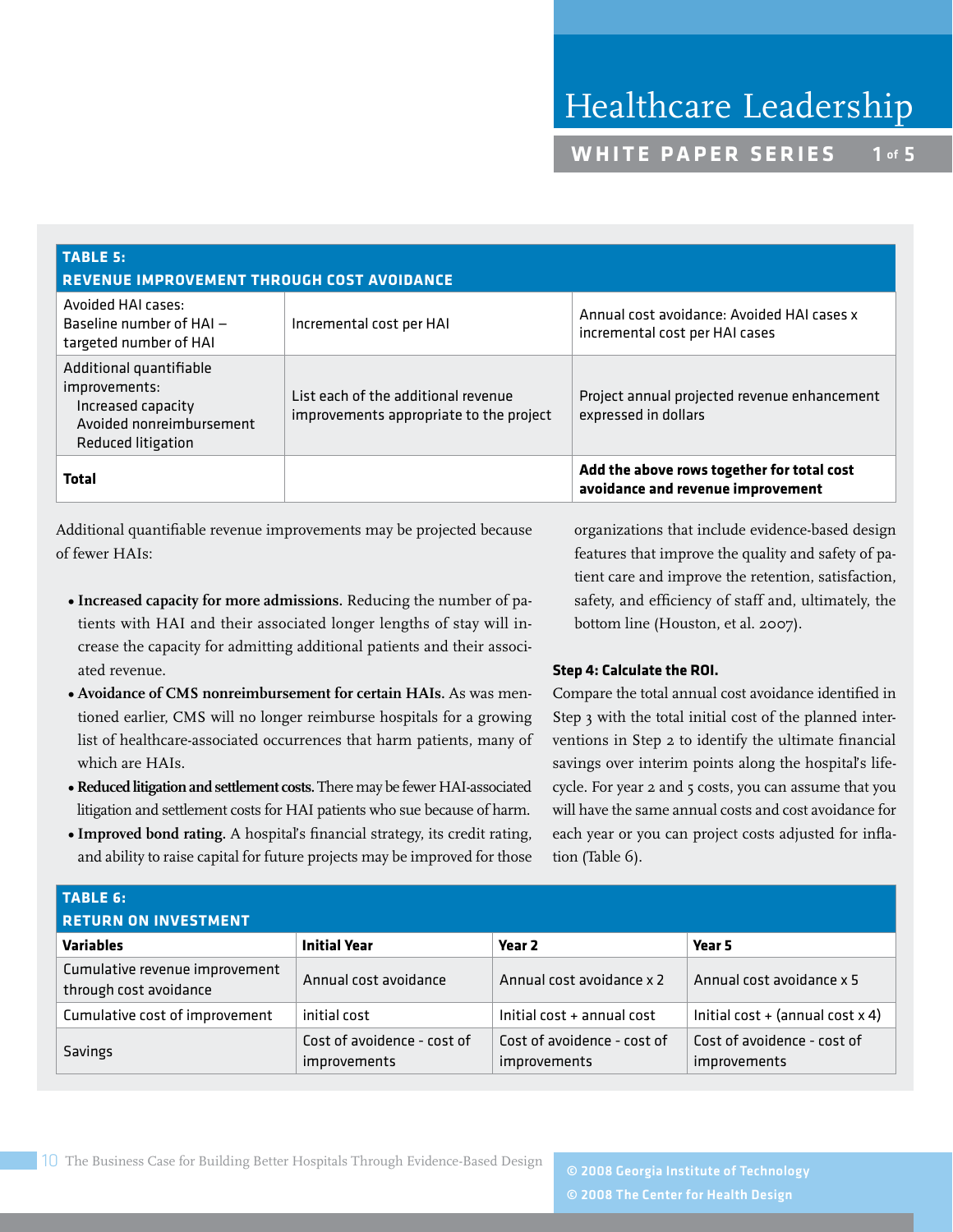| <b>TABLE 5:</b><br><b>REVENUE IMPROVEMENT THROUGH COST AVOIDANCE</b>                                             |                                                                                |                                                                                 |  |
|------------------------------------------------------------------------------------------------------------------|--------------------------------------------------------------------------------|---------------------------------------------------------------------------------|--|
| Avoided HAI cases:<br>Baseline number of $HAI -$<br>targeted number of HAI                                       | Incremental cost per HAI                                                       | Annual cost avoidance: Avoided HAI cases x<br>incremental cost per HAI cases    |  |
| Additional quantifiable<br>improvements:<br>Increased capacity<br>Avoided nonreimbursement<br>Reduced litigation | List each of the additional revenue<br>improvements appropriate to the project | Project annual projected revenue enhancement<br>expressed in dollars            |  |
| <b>Total</b>                                                                                                     |                                                                                | Add the above rows together for total cost<br>avoidance and revenue improvement |  |

Additional quantifiable revenue improvements may be projected because of fewer HAIs:

- **Increased capacity for more admissions.** Reducing the number of patients with HAI and their associated longer lengths of stay will increase the capacity for admitting additional patients and their associated revenue.
- **Avoidance of CMS nonreimbursement for certain HAIs.** As was mentioned earlier, CMS will no longer reimburse hospitals for a growing list of healthcare-associated occurrences that harm patients, many of which are HAIs.
- **Reduced litigation and settlement costs.** There may be fewer HAI-associated litigation and settlement costs for HAI patients who sue because of harm.
- **Improved bond rating.** A hospital's financial strategy, its credit rating, and ability to raise capital for future projects may be improved for those

organizations that include evidence-based design features that improve the quality and safety of patient care and improve the retention, satisfaction, safety, and efficiency of staff and, ultimately, the bottom line (Houston, et al. 2007).

# **Step 4: Calculate the ROI.**

Compare the total annual cost avoidance identified in Step 3 with the total initial cost of the planned interventions in Step 2 to identify the ultimate financial savings over interim points along the hospital's lifecycle. For year 2 and 5 costs, you can assume that you will have the same annual costs and cost avoidance for each year or you can project costs adjusted for inflation (Table 6).

| TABLE 6:                                                 |                                             |                                             |                                             |  |
|----------------------------------------------------------|---------------------------------------------|---------------------------------------------|---------------------------------------------|--|
| <b>RETURN ON INVESTMENT</b>                              |                                             |                                             |                                             |  |
| <b>Variables</b>                                         | <b>Initial Year</b>                         | Year 2                                      | Year 5                                      |  |
| Cumulative revenue improvement<br>through cost avoidance | Annual cost avoidance                       | Annual cost avoidance x 2                   | Annual cost avoidance x 5                   |  |
| Cumulative cost of improvement                           | initial cost                                | Initial cost + annual cost                  | Initial cost + (annual cost $x$ 4)          |  |
| Savings                                                  | Cost of avoidence - cost of<br>improvements | Cost of avoidence - cost of<br>improvements | Cost of avoidence - cost of<br>improvements |  |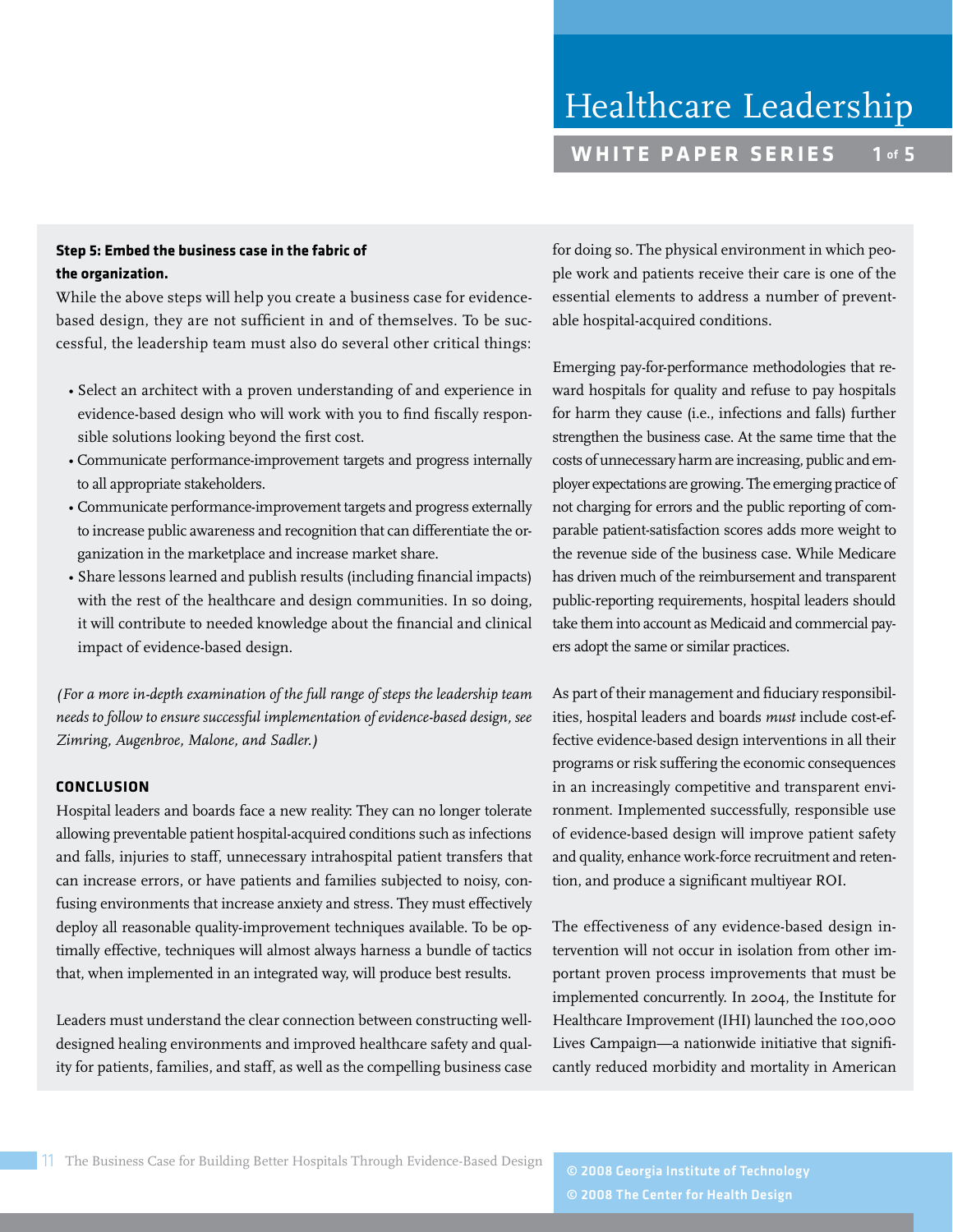# **Step 5: Embed the business case in the fabric of the organization.**

While the above steps will help you create a business case for evidencebased design, they are not sufficient in and of themselves. To be successful, the leadership team must also do several other critical things:

- Select an architect with a proven understanding of and experience in evidence-based design who will work with you to find fiscally responsible solutions looking beyond the first cost.
- Communicate performance-improvement targets and progress internally to all appropriate stakeholders.
- Communicate performance-improvement targets and progress externally to increase public awareness and recognition that can differentiate the organization in the marketplace and increase market share.
- Share lessons learned and publish results (including financial impacts) with the rest of the healthcare and design communities. In so doing, it will contribute to needed knowledge about the financial and clinical impact of evidence-based design.

*(For a more in-depth examination of the full range of steps the leadership team needs to follow to ensure successful implementation of evidence-based design, see Zimring, Augenbroe, Malone, and Sadler.)*

# **CONCLUSION**

Hospital leaders and boards face a new reality: They can no longer tolerate allowing preventable patient hospital-acquired conditions such as infections and falls, injuries to staff, unnecessary intrahospital patient transfers that can increase errors, or have patients and families subjected to noisy, confusing environments that increase anxiety and stress. They must effectively deploy all reasonable quality-improvement techniques available. To be optimally effective, techniques will almost always harness a bundle of tactics that, when implemented in an integrated way, will produce best results.

Leaders must understand the clear connection between constructing welldesigned healing environments and improved healthcare safety and quality for patients, families, and staff, as well as the compelling business case for doing so. The physical environment in which people work and patients receive their care is one of the essential elements to address a number of preventable hospital-acquired conditions.

Emerging pay-for-performance methodologies that reward hospitals for quality and refuse to pay hospitals for harm they cause (i.e., infections and falls) further strengthen the business case. At the same time that the costs of unnecessary harm are increasing, public and employer expectations are growing. The emerging practice of not charging for errors and the public reporting of comparable patient-satisfaction scores adds more weight to the revenue side of the business case. While Medicare has driven much of the reimbursement and transparent public-reporting requirements, hospital leaders should take them into account as Medicaid and commercial payers adopt the same or similar practices.

As part of their management and fiduciary responsibilities, hospital leaders and boards *must* include cost-effective evidence-based design interventions in all their programs or risk suffering the economic consequences in an increasingly competitive and transparent environment. Implemented successfully, responsible use of evidence-based design will improve patient safety and quality, enhance work-force recruitment and retention, and produce a significant multiyear ROI.

The effectiveness of any evidence-based design intervention will not occur in isolation from other important proven process improvements that must be implemented concurrently. In 2004, the Institute for Healthcare Improvement (IHI) launched the 100,000 Lives Campaign—a nationwide initiative that significantly reduced morbidity and mortality in American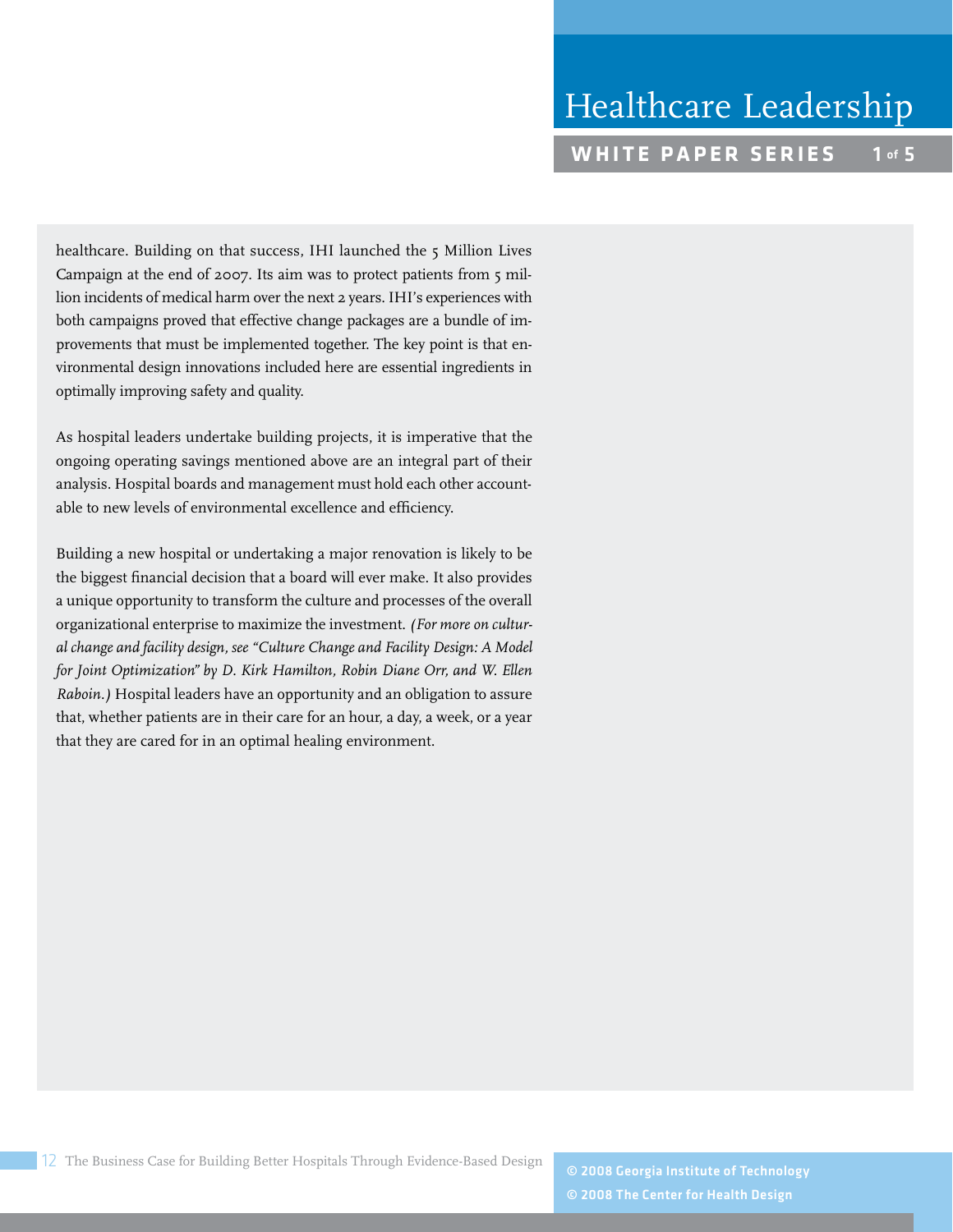healthcare. Building on that success, IHI launched the 5 Million Lives Campaign at the end of 2007. Its aim was to protect patients from 5 million incidents of medical harm over the next 2 years. IHI's experiences with both campaigns proved that effective change packages are a bundle of improvements that must be implemented together. The key point is that environmental design innovations included here are essential ingredients in optimally improving safety and quality.

As hospital leaders undertake building projects, it is imperative that the ongoing operating savings mentioned above are an integral part of their analysis. Hospital boards and management must hold each other accountable to new levels of environmental excellence and efficiency.

Building a new hospital or undertaking a major renovation is likely to be the biggest financial decision that a board will ever make. It also provides a unique opportunity to transform the culture and processes of the overall organizational enterprise to maximize the investment. *(For more on cultural change and facility design, see "Culture Change and Facility Design: A Model for Joint Optimization" by D. Kirk Hamilton, Robin Diane Orr, and W. Ellen Raboin.)* Hospital leaders have an opportunity and an obligation to assure that, whether patients are in their care for an hour, a day, a week, or a year that they are cared for in an optimal healing environment.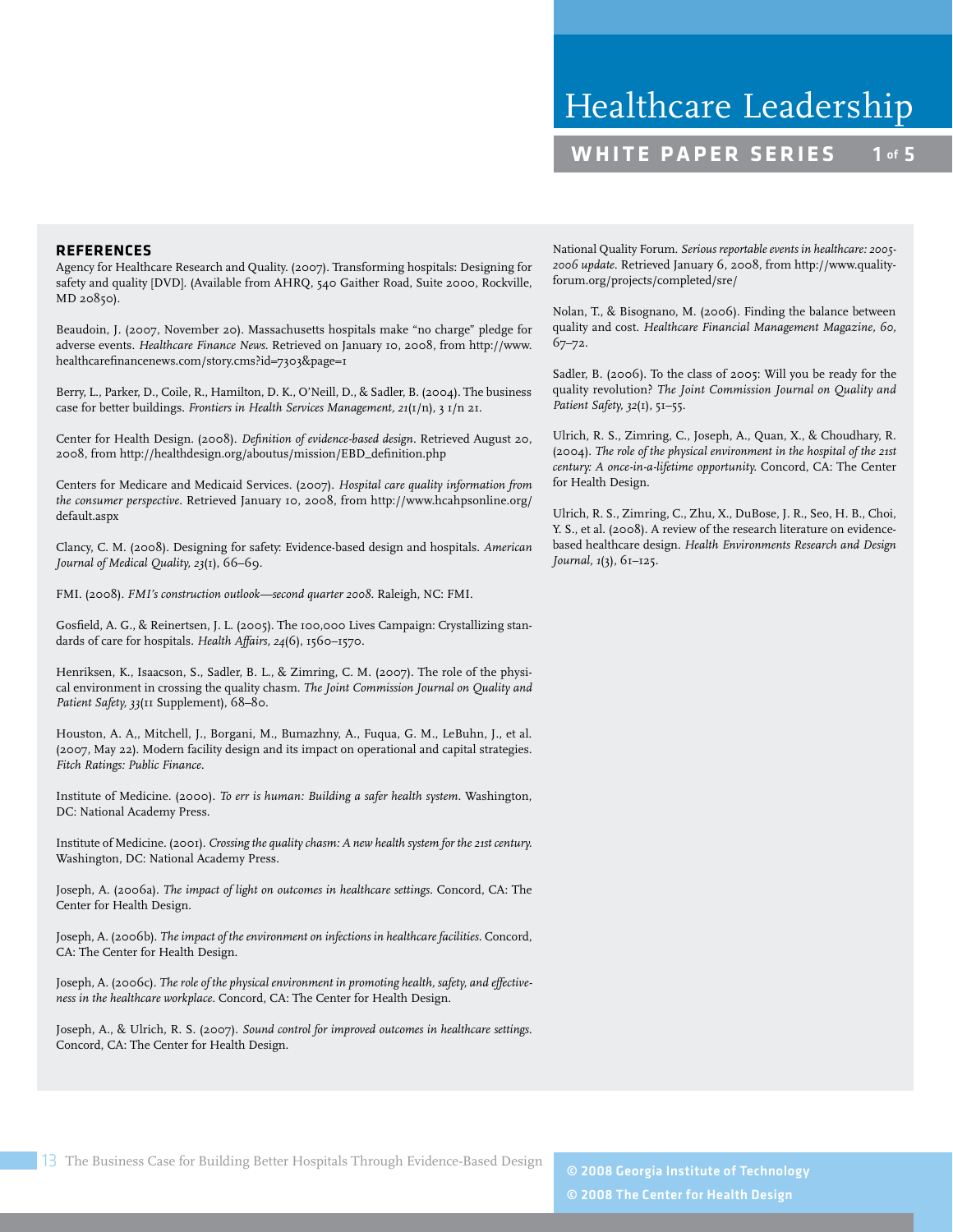#### **REFERENCES**

Agency for Healthcare Research and Quality. (2007). Transforming hospitals: Designing for safety and quality [DVD]. (Available from AHRQ, 540 Gaither Road, Suite 2000, Rockville, MD 20850).

Beaudoin, J. (2007, November 20). Massachusetts hospitals make "no charge" pledge for adverse events. *Healthcare Finance News*. Retrieved on January 10, 2008, from http://www. healthcarefinancenews.com/story.cms?id=7303&page=1

Berry, L., Parker, D., Coile, R., Hamilton, D. K., O'Neill, D., & Sadler, B. (2004). The business case for better buildings. *Frontiers in Health Services Management, 21*(1/n), 3 1/n 21.

Center for Health Design. (2008). *Definition of evidence-based design*. Retrieved August 20, 2008, from http://healthdesign.org/aboutus/mission/EBD\_definition.php

Centers for Medicare and Medicaid Services. (2007). *Hospital care quality information from the consumer perspective*. Retrieved January 10, 2008, from http://www.hcahpsonline.org/ default.aspx

Clancy, C. M. (2008). Designing for safety: Evidence-based design and hospitals. *American Journal of Medical Quality, 23*(1), 66–69.

FMI. (2008). *FMI's construction outlook—second quarter 2008*. Raleigh, NC: FMI.

Gosfield, A. G., & Reinertsen, J. L. (2005). The 100,000 Lives Campaign: Crystallizing standards of care for hospitals. *Health Affairs, 24*(6), 1560–1570.

Henriksen, K., Isaacson, S., Sadler, B. L., & Zimring, C. M. (2007). The role of the physical environment in crossing the quality chasm. *The Joint Commission Journal on Quality and Patient Safety, 33*(11 Supplement), 68–80.

Houston, A. A,, Mitchell, J., Borgani, M., Bumazhny, A., Fuqua, G. M., LeBuhn, J., et al. (2007, May 22). Modern facility design and its impact on operational and capital strategies. *Fitch Ratings: Public Finance.*

Institute of Medicine. (2000). *To err is human: Building a safer health system*. Washington, DC: National Academy Press.

Institute of Medicine. (2001). *Crossing the quality chasm: A new health system for the 21st century.* Washington, DC: National Academy Press.

Joseph, A. (2006a). *The impact of light on outcomes in healthcare settings.* Concord, CA: The Center for Health Design.

Joseph, A. (2006b). *The impact of the environment on infections in healthcare facilities.* Concord, CA: The Center for Health Design.

Joseph, A. (2006c). *The role of the physical environment in promoting health, safety, and effectiveness in the healthcare workplace.* Concord, CA: The Center for Health Design.

Joseph, A., & Ulrich, R. S. (2007). *Sound control for improved outcomes in healthcare settings.* Concord, CA: The Center for Health Design.

National Quality Forum. *Serious reportable events in healthcare: 2005- 2006 update.* Retrieved January 6, 2008, from http://www.qualityforum.org/projects/completed/sre/

Nolan, T., & Bisognano, M. (2006). Finding the balance between quality and cost. *Healthcare Financial Management Magazine, 60,* 67–72.

Sadler, B. (2006). To the class of 2005: Will you be ready for the quality revolution? *The Joint Commission Journal on Quality and Patient Safety, 32*(1), 51–55.

Ulrich, R. S., Zimring, C., Joseph, A., Quan, X., & Choudhary, R. (2004). *The role of the physical environment in the hospital of the 21st century: A once-in-a-lifetime opportunity.* Concord, CA: The Center for Health Design.

Ulrich, R. S., Zimring, C., Zhu, X., DuBose, J. R., Seo, H. B., Choi, Y. S., et al. (2008). A review of the research literature on evidencebased healthcare design. *Health Environments Research and Design Journal, 1*(3), 61–125.